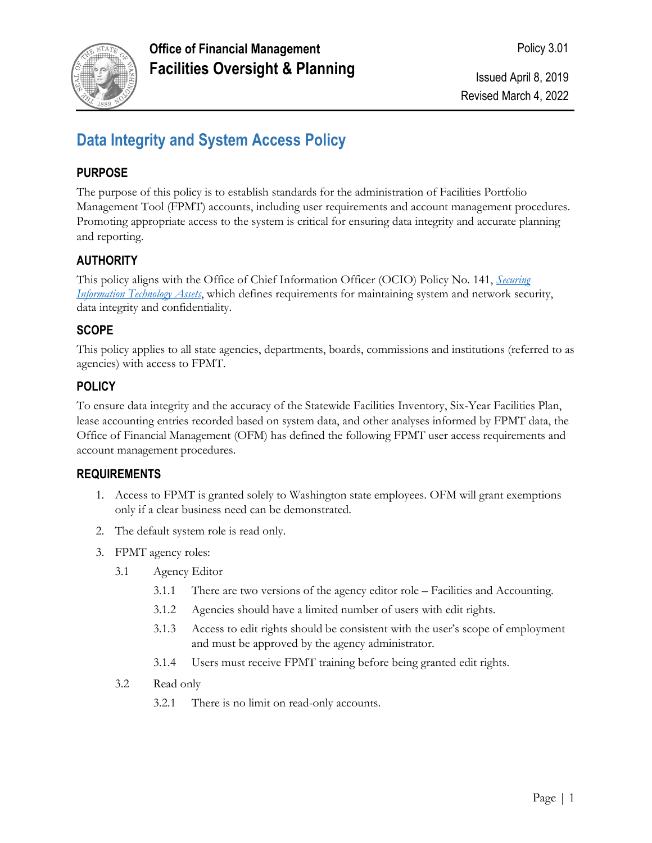

# **Data Integrity and System Access Policy**

## **PURPOSE**

The purpose of this policy is to establish standards for the administration of Facilities Portfolio Management Tool (FPMT) accounts, including user requirements and account management procedures. Promoting appropriate access to the system is critical for ensuring data integrity and accurate planning and reporting.

## **AUTHORITY**

This policy aligns with the Office of Chief Information Officer (OCIO) Policy No. 141, *[Securing](https://ocio.wa.gov/policies/141-securing-information-technology-assets)  [Information Technology Assets](https://ocio.wa.gov/policies/141-securing-information-technology-assets)*, which defines requirements for maintaining system and network security, data integrity and confidentiality.

#### **SCOPE**

This policy applies to all state agencies, departments, boards, commissions and institutions (referred to as agencies) with access to FPMT.

## **POLICY**

To ensure data integrity and the accuracy of the Statewide Facilities Inventory, Six-Year Facilities Plan, lease accounting entries recorded based on system data, and other analyses informed by FPMT data, the Office of Financial Management (OFM) has defined the following FPMT user access requirements and account management procedures.

#### **REQUIREMENTS**

- 1. Access to FPMT is granted solely to Washington state employees. OFM will grant exemptions only if a clear business need can be demonstrated.
- 2. The default system role is read only.
- 3. FPMT agency roles:
	- 3.1 Agency Editor
		- 3.1.1 There are two versions of the agency editor role Facilities and Accounting.
		- 3.1.2 Agencies should have a limited number of users with edit rights.
		- 3.1.3 Access to edit rights should be consistent with the user's scope of employment and must be approved by the agency administrator.
		- 3.1.4 Users must receive FPMT training before being granted edit rights.
	- 3.2 Read only
		- 3.2.1 There is no limit on read-only accounts.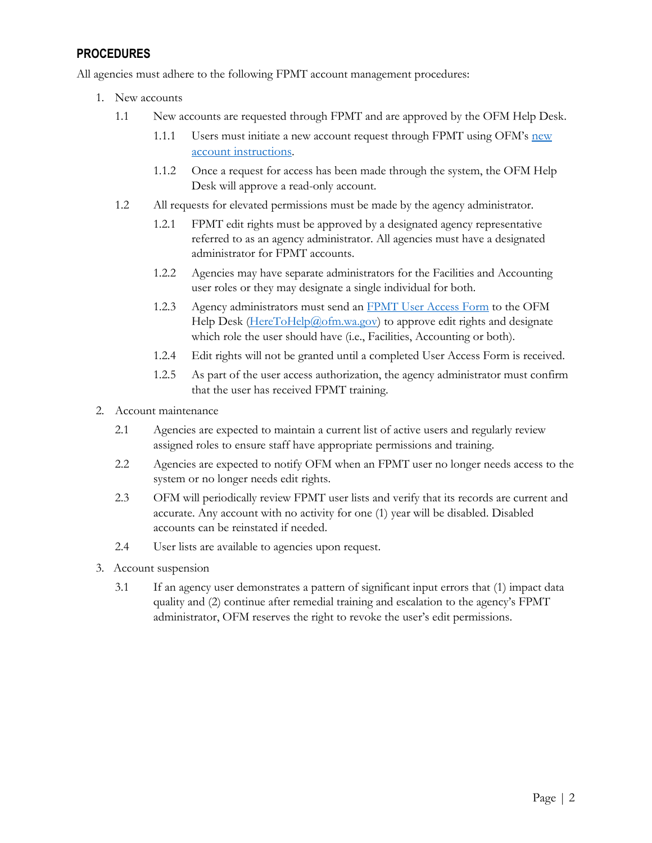#### **PROCEDURES**

All agencies must adhere to the following FPMT account management procedures:

- 1. New accounts
	- 1.1 New accounts are requested through FPMT and are approved by the OFM Help Desk.
		- 1.1.1 Users must initiate a [new](https://ofm.wa.gov/sites/default/files/public/itsystems/FPMT/Request%20New%20User%20Account.pdf) account request through FPMT using OFM's new account [instructions](https://ofm.wa.gov/sites/default/files/public/itsystems/FPMT/Request%20New%20User%20Account.pdf).
		- 1.1.2 Once a request for access has been made through the system, the OFM Help Desk will approve a read-only account.
	- 1.2 All requests for elevated permissions must be made by the agency administrator.
		- 1.2.1 FPMT edit rights must be approved by a designated agency representative referred to as an agency administrator. All agencies must have a designated administrator for FPMT accounts.
		- 1.2.2 Agencies may have separate administrators for the Facilities and Accounting user roles or they may designate a single individual for both.
		- 1.2.3 Agency administrators must send an [FPMT User Access Form](https://ofm.wa.gov/sites/default/files/public/itsystems/FPMT/FPMT_User_Access_Form.pdf) to the OFM Help Desk [\(HereToHelp@ofm.wa.gov\)](mailto:HereToHelp@ofm.wa.gov) to approve edit rights and designate which role the user should have (i.e., Facilities, Accounting or both).
		- 1.2.4 Edit rights will not be granted until a completed User Access Form is received.
		- 1.2.5 As part of the user access authorization, the agency administrator must confirm that the user has received FPMT training.
- 2. Account maintenance
	- 2.1 Agencies are expected to maintain a current list of active users and regularly review assigned roles to ensure staff have appropriate permissions and training.
	- 2.2 Agencies are expected to notify OFM when an FPMT user no longer needs access to the system or no longer needs edit rights.
	- 2.3 OFM will periodically review FPMT user lists and verify that its records are current and accurate. Any account with no activity for one (1) year will be disabled. Disabled accounts can be reinstated if needed.
	- 2.4 User lists are available to agencies upon request.
- 3. Account suspension
	- 3.1 If an agency user demonstrates a pattern of significant input errors that (1) impact data quality and (2) continue after remedial training and escalation to the agency's FPMT administrator, OFM reserves the right to revoke the user's edit permissions.